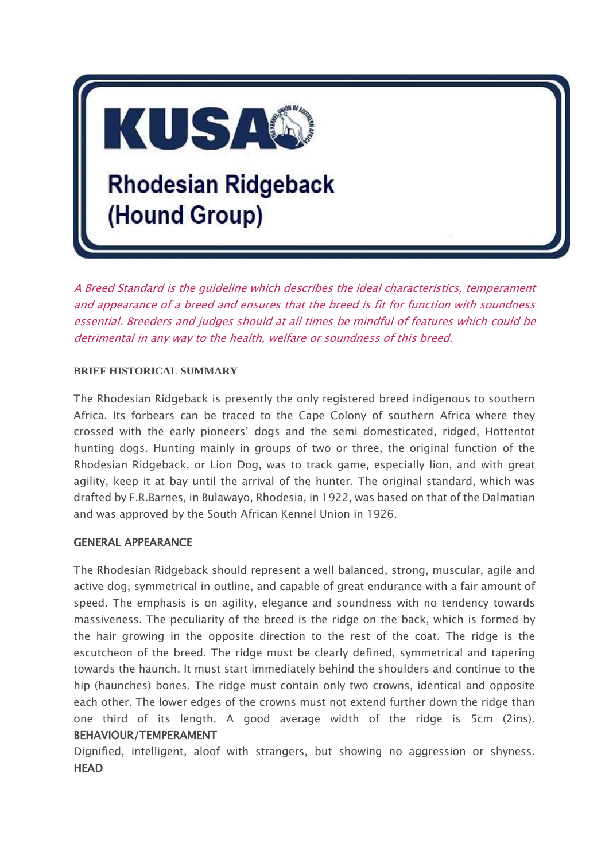

A Breed Standard is the guideline which describes the ideal characteristics, temperament and appearance of a breed and ensures that the breed is fit for function with soundness essential. Breeders and judges should at all times be mindful of features which could be detrimental in any way to the health, welfare or soundness of this breed.

#### **BRIEF HISTORICAL SUMMARY**

The Rhodesian Ridgeback is presently the only registered breed indigenous to southern Africa. Its forbears can be traced to the Cape Colony of southern Africa where they crossed with the early pioneers' dogs and the semi domesticated, ridged, Hottentot hunting dogs. Hunting mainly in groups of two or three, the original function of the Rhodesian Ridgeback, or Lion Dog, was to track game, especially lion, and with great agility, keep it at bay until the arrival of the hunter. The original standard, which was drafted by F.R.Barnes, in Bulawayo, Rhodesia, in 1922, was based on that of the Dalmatian and was approved by the South African Kennel Union in 1926.

#### GENERAL APPEARANCE

The Rhodesian Ridgeback should represent a well balanced, strong, muscular, agile and active dog, symmetrical in outline, and capable of great endurance with a fair amount of speed. The emphasis is on agility, elegance and soundness with no tendency towards massiveness. The peculiarity of the breed is the ridge on the back, which is formed by the hair growing in the opposite direction to the rest of the coat. The ridge is the escutcheon of the breed. The ridge must be clearly defined, symmetrical and tapering towards the haunch. It must start immediately behind the shoulders and continue to the hip (haunches) bones. The ridge must contain only two crowns, identical and opposite each other. The lower edges of the crowns must not extend further down the ridge than one third of its length. A good average width of the ridge is 5cm (2ins). BEHAVIOUR/TEMPERAMENT

Dignified, intelligent, aloof with strangers, but showing no aggression or shyness. **HFAD**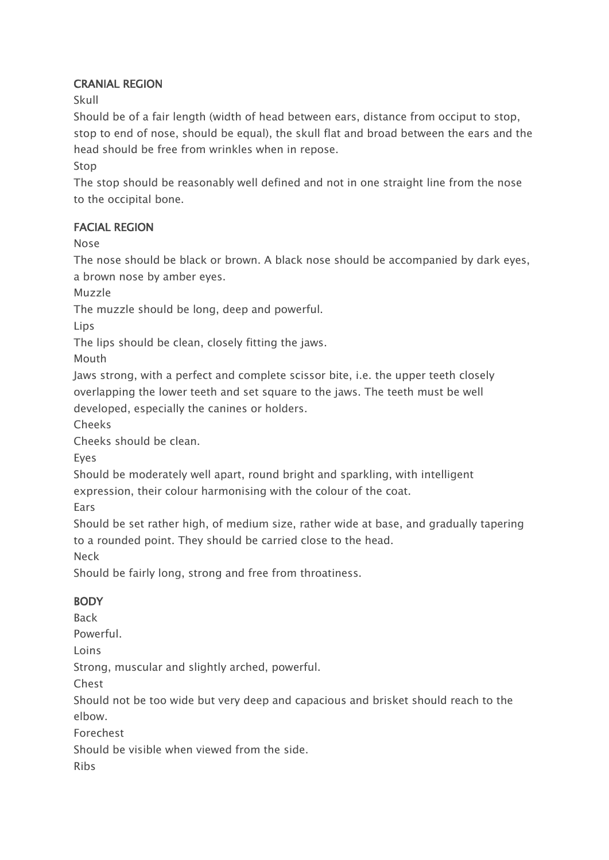# CRANIAL REGION

Skull

Should be of a fair length (width of head between ears, distance from occiput to stop, stop to end of nose, should be equal), the skull flat and broad between the ears and the head should be free from wrinkles when in repose.

Stop

The stop should be reasonably well defined and not in one straight line from the nose to the occipital bone.

# FACIAL REGION

Nose

The nose should be black or brown. A black nose should be accompanied by dark eyes, a brown nose by amber eyes.

Muzzle

The muzzle should be long, deep and powerful.

Lips

The lips should be clean, closely fitting the jaws.

Mouth

Jaws strong, with a perfect and complete scissor bite, i.e. the upper teeth closely overlapping the lower teeth and set square to the jaws. The teeth must be well developed, especially the canines or holders.

Cheeks

Cheeks should be clean.

Eyes

Should be moderately well apart, round bright and sparkling, with intelligent expression, their colour harmonising with the colour of the coat.

Ears

Should be set rather high, of medium size, rather wide at base, and gradually tapering to a rounded point. They should be carried close to the head.

Neck

Should be fairly long, strong and free from throatiness.

## **BODY**

Back Powerful. Loins Strong, muscular and slightly arched, powerful. Chest Should not be too wide but very deep and capacious and brisket should reach to the elbow. Forechest Should be visible when viewed from the side. Ribs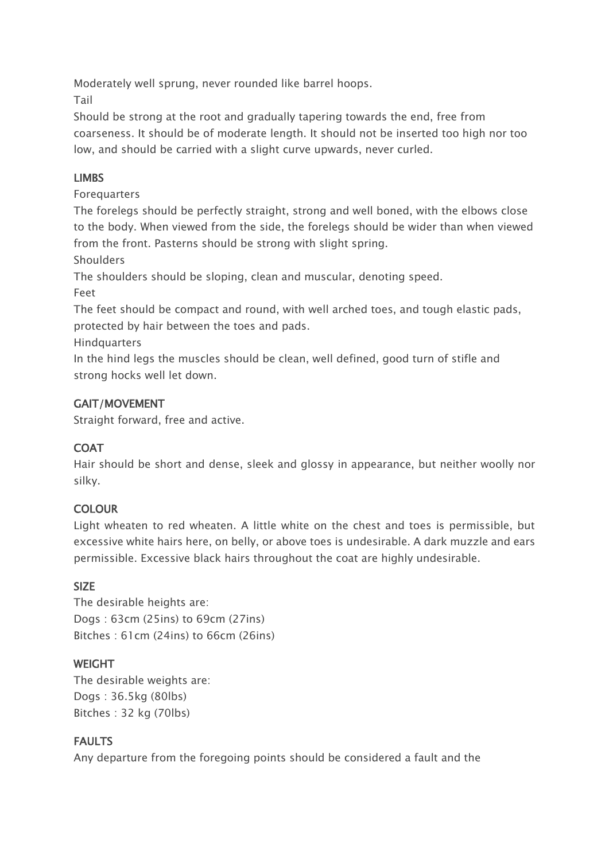Moderately well sprung, never rounded like barrel hoops.

Tail

Should be strong at the root and gradually tapering towards the end, free from coarseness. It should be of moderate length. It should not be inserted too high nor too low, and should be carried with a slight curve upwards, never curled.

# LIMBS

Forequarters

The forelegs should be perfectly straight, strong and well boned, with the elbows close to the body. When viewed from the side, the forelegs should be wider than when viewed from the front. Pasterns should be strong with slight spring.

**Shoulders** 

The shoulders should be sloping, clean and muscular, denoting speed.

Feet

The feet should be compact and round, with well arched toes, and tough elastic pads, protected by hair between the toes and pads.

Hindquarters

In the hind legs the muscles should be clean, well defined, good turn of stifle and strong hocks well let down.

## GAIT/MOVEMENT

Straight forward, free and active.

## COAT

Hair should be short and dense, sleek and glossy in appearance, but neither woolly nor silky.

## **COLOUR**

Light wheaten to red wheaten. A little white on the chest and toes is permissible, but excessive white hairs here, on belly, or above toes is undesirable. A dark muzzle and ears permissible. Excessive black hairs throughout the coat are highly undesirable.

## SIZE

The desirable heights are: Dogs : 63cm (25ins) to 69cm (27ins) Bitches : 61cm (24ins) to 66cm (26ins)

## WEIGHT

The desirable weights are: Dogs : 36.5kg (80lbs) Bitches : 32 kg (70lbs)

## FAULTS

Any departure from the foregoing points should be considered a fault and the